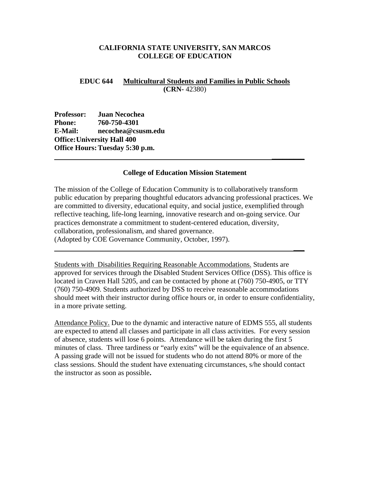### **CALIFORNIA STATE UNIVERSITY, SAN MARCOS COLLEGE OF EDUCATION**

## **EDUC 644 Multicultural Students and Families in Public Schools (CRN-** 42380)

**Professor: Juan Necochea Phone: 760-750-4301 E-Mail: necochea@csusm.edu Office: University Hall 400 Office Hours: Tuesday 5:30 p.m.** 

#### **College of Education Mission Statement**

 **\_\_\_\_\_\_\_\_\_**

The mission of the College of Education Community is to collaboratively transform public education by preparing thoughtful educators advancing professional practices. We are committed to diversity, educational equity, and social justice, exemplified through reflective teaching, life-long learning, innovative research and on-going service. Our practices demonstrate a commitment to student-centered education, diversity, collaboration, professionalism, and shared governance. (Adopted by COE Governance Community, October, 1997).

 **\_\_\_**

Students with Disabilities Requiring Reasonable Accommodations. Students are approved for services through the Disabled Student Services Office (DSS). This office is located in Craven Hall 5205, and can be contacted by phone at (760) 750-4905, or TTY (760) 750-4909. Students authorized by DSS to receive reasonable accommodations should meet with their instructor during office hours or, in order to ensure confidentiality, in a more private setting.

Attendance Policy. Due to the dynamic and interactive nature of EDMS 555, all students are expected to attend all classes and participate in all class activities. For every session of absence, students will lose 6 points. Attendance will be taken during the first 5 minutes of class. Three tardiness or "early exits" will be the equivalence of an absence. A passing grade will not be issued for students who do not attend 80% or more of the class sessions. Should the student have extenuating circumstances, s/he should contact the instructor as soon as possible**.**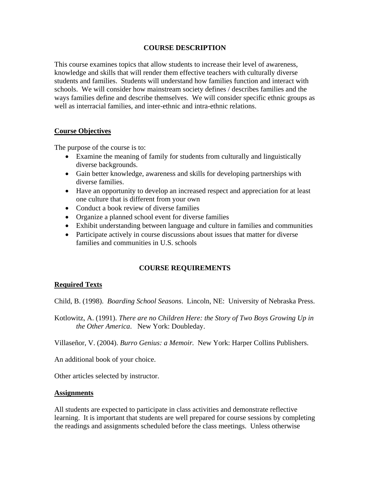## **COURSE DESCRIPTION**

This course examines topics that allow students to increase their level of awareness, knowledge and skills that will render them effective teachers with culturally diverse students and families. Students will understand how families function and interact with schools. We will consider how mainstream society defines / describes families and the ways families define and describe themselves. We will consider specific ethnic groups as well as interracial families, and inter-ethnic and intra-ethnic relations.

## **Course Objectives**

The purpose of the course is to:

- Examine the meaning of family for students from culturally and linguistically diverse backgrounds.
- Gain better knowledge, awareness and skills for developing partnerships with diverse families.
- Have an opportunity to develop an increased respect and appreciation for at least one culture that is different from your own
- Conduct a book review of diverse families
- Organize a planned school event for diverse families
- Exhibit understanding between language and culture in families and communities
- Participate actively in course discussions about issues that matter for diverse families and communities in U.S. schools

# **COURSE REQUIREMENTS**

# **Required Texts**

Child, B. (1998). *Boarding School Seasons*. Lincoln, NE: University of Nebraska Press.

Kotlowitz, A. (1991). *There are no Children Here: the Story of Two Boys Growing Up in the Other America*. New York: Doubleday.

Villaseñor, V. (2004). *Burro Genius: a Memoir.* New York: Harper Collins Publishers.

An additional book of your choice.

Other articles selected by instructor.

#### **Assignments**

All students are expected to participate in class activities and demonstrate reflective learning. It is important that students are well prepared for course sessions by completing the readings and assignments scheduled before the class meetings. Unless otherwise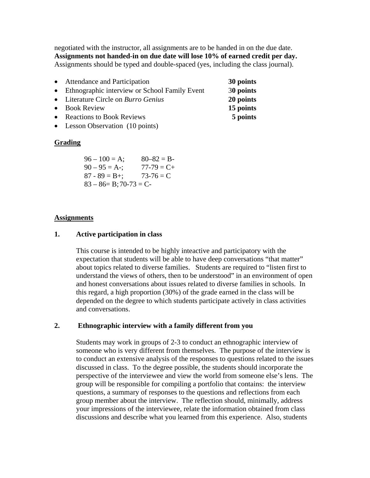negotiated with the instructor, all assignments are to be handed in on the due date. **Assignments not handed-in on due date will lose 10% of earned credit per day.** Assignments should be typed and double-spaced (yes, including the class journal).

- Attendance and Participation **30 points** • Ethnographic interview or School Family Event 3**0 points**
- Literature Circle on *Burro Genius* **20 points**
- Book Review **15 points**
- Reactions to Book Reviews **5 points**
- Lesson Observation (10 points)

### **Grading**

| $96 - 100 = A;$            | $80 - 82 = B$   |  |
|----------------------------|-----------------|--|
| $90 - 95 = A -$ ;          | $77 - 79 = C +$ |  |
| $87 - 89 = B +$ ;          | $73-76 = C$     |  |
| $83 - 86 = B$ ; 70-73 = C- |                 |  |

### **Assignments**

### **1. Active participation in class**

This course is intended to be highly inteactive and participatory with the expectation that students will be able to have deep conversations "that matter" about topics related to diverse families. Students are required to "listen first to understand the views of others, then to be understood" in an environment of open and honest conversations about issues related to diverse families in schools. In this regard, a high proportion (30%) of the grade earned in the class will be depended on the degree to which students participate actively in class activities and conversations.

### **2. Ethnographic interview with a family different from you**

Students may work in groups of 2-3 to conduct an ethnographic interview of someone who is very different from themselves. The purpose of the interview is to conduct an extensive analysis of the responses to questions related to the issues discussed in class. To the degree possible, the students should incorporate the perspective of the interviewee and view the world from someone else's lens. The group will be responsible for compiling a portfolio that contains: the interview questions, a summary of responses to the questions and reflections from each group member about the interview. The reflection should, minimally, address your impressions of the interviewee, relate the information obtained from class discussions and describe what you learned from this experience. Also, students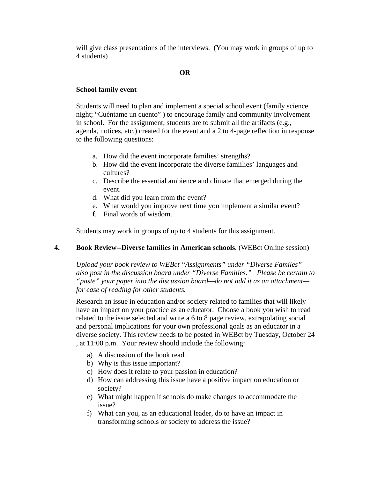will give class presentations of the interviews. (You may work in groups of up to 4 students)

# **OR**

## **School family event**

Students will need to plan and implement a special school event (family science night; "Cuéntame un cuento" ) to encourage family and community involvement in school. For the assignment, students are to submit all the artifacts (e.g., agenda, notices, etc.) created for the event and a 2 to 4-page reflection in response to the following questions:

- a. How did the event incorporate families' strengths?
- b. How did the event incorporate the diverse famiilies' languages and cultures?
- c. Describe the essential ambience and climate that emerged during the event.
- d. What did you learn from the event?
- e. What would you improve next time you implement a similar event?
- f. Final words of wisdom.

Students may work in groups of up to 4 students for this assignment.

### **4. Book Review--Diverse families in American schools**. (WEBct Online session)

*Upload your book review to WEBct "Assignments" under "Diverse Familes" also post in the discussion board under "Diverse Families." Please be certain to "paste" your paper into the discussion board—do not add it as an attachment for ease of reading for other students.* 

Research an issue in education and/or society related to families that will likely have an impact on your practice as an educator. Choose a book you wish to read related to the issue selected and write a 6 to 8 page review, extrapolating social and personal implications for your own professional goals as an educator in a diverse society. This review needs to be posted in WEBct by Tuesday, October 24 , at 11:00 p.m. Your review should include the following:

- a) A discussion of the book read.
- b) Why is this issue important?
- c) How does it relate to your passion in education?
- d) How can addressing this issue have a positive impact on education or society?
- e) What might happen if schools do make changes to accommodate the issue?
- f) What can you, as an educational leader, do to have an impact in transforming schools or society to address the issue?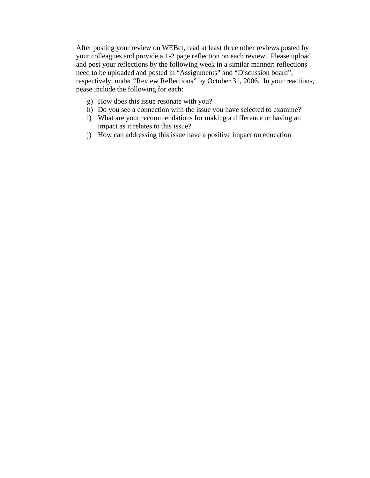After posting your review on WEBct, read at least three other reviews posted by your colleagues and provide a 1-2 page reflection on each review. Please upload and post your reflections by the following week in a similar manner: reflections need to be uploaded and posted in "Assignments" and "Discussion board", respectively, under "Review Reflections" by October 31, 2006. In your reactions, pease include the following for each:

- g) How does this issue resonate with you?
- h) Do you see a connection with the issue you have selected to examine?
- i) What are your recommendations for making a difference or having an impact as it relates to this issue?
- j) How can addressing this issue have a positive impact on education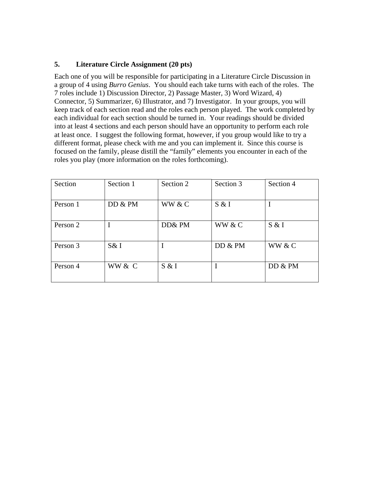# **5. Literature Circle Assignment (20 pts)**

Each one of you will be responsible for participating in a Literature Circle Discussion in a group of 4 using *Burro Genius*. You should each take turns with each of the roles. The 7 roles include 1) Discussion Director, 2) Passage Master, 3) Word Wizard, 4) Connector, 5) Summarizer, 6) Illustrator, and 7) Investigator. In your groups, you will keep track of each section read and the roles each person played. The work completed by each individual for each section should be turned in. Your readings should be divided into at least 4 sections and each person should have an opportunity to perform each role at least once. I suggest the following format, however, if you group would like to try a different format, please check with me and you can implement it. Since this course is focused on the family, please distill the "family" elements you encounter in each of the roles you play (more information on the roles forthcoming).

| Section  | Section 1 | Section 2 | Section 3 | Section 4 |
|----------|-----------|-----------|-----------|-----------|
| Person 1 | DD & PM   | WW & C    | S & I     |           |
| Person 2 |           | DD& PM    | WW & C    | S & I     |
| Person 3 | S&I       |           | DD & PM   | WW & C    |
| Person 4 | WW & C    | S & I     | I         | DD & PM   |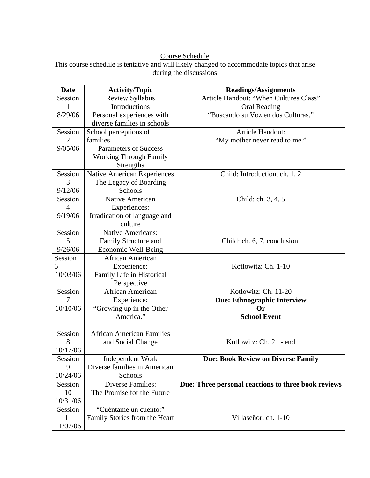## Course Schedule

This course schedule is tentative and will likely changed to accommodate topics that arise during the discussions

| <b>Date</b>    | <b>Activity/Topic</b>            | <b>Readings/Assignments</b>                         |
|----------------|----------------------------------|-----------------------------------------------------|
| Session        | <b>Review Syllabus</b>           | Article Handout: "When Cultures Class"              |
| 1              | Introductions                    | <b>Oral Reading</b>                                 |
| 8/29/06        | Personal experiences with        | "Buscando su Voz en dos Culturas."                  |
|                | diverse families in schools      |                                                     |
| Session        | School perceptions of            | Article Handout:                                    |
| $\overline{2}$ | families                         | "My mother never read to me."                       |
| 9/05/06        | <b>Parameters of Success</b>     |                                                     |
|                | <b>Working Through Family</b>    |                                                     |
|                | Strengths                        |                                                     |
| Session        | Native American Experiences      | Child: Introduction, ch. 1, 2                       |
| 3              | The Legacy of Boarding           |                                                     |
| 9/12/06        | Schools                          |                                                     |
| Session        | Native American                  | Child: ch. 3, 4, 5                                  |
| $\overline{4}$ | Experiences:                     |                                                     |
| 9/19/06        | Irradication of language and     |                                                     |
|                | culture                          |                                                     |
| Session        | <b>Native Americans:</b>         |                                                     |
| 5              | Family Structure and             | Child: ch. 6, 7, conclusion.                        |
| 9/26/06        | <b>Economic Well-Being</b>       |                                                     |
| Session        | African American                 |                                                     |
| 6              | Experience:                      | Kotlowitz: Ch. 1-10                                 |
| 10/03/06       | Family Life in Historical        |                                                     |
|                | Perspective                      |                                                     |
| Session        | African American                 | Kotlowitz: Ch. 11-20                                |
| 7              | Experience:                      | <b>Due: Ethnographic Interview</b>                  |
| 10/10/06       | "Growing up in the Other         | <b>Or</b>                                           |
|                | America."                        | <b>School Event</b>                                 |
|                |                                  |                                                     |
| Session        | <b>African American Families</b> |                                                     |
| 8              | and Social Change                | Kotlowitz: Ch. 21 - end                             |
| 10/17/06       |                                  |                                                     |
| Session        | Independent Work                 | <b>Due: Book Review on Diverse Family</b>           |
| 9              | Diverse families in American     |                                                     |
| 10/24/06       | Schools                          |                                                     |
| Session        | <b>Diverse Families:</b>         | Due: Three personal reactions to three book reviews |
| 10             | The Promise for the Future       |                                                     |
| 10/31/06       |                                  |                                                     |
| Session        | "Cuéntame un cuento:"            |                                                     |
| 11             | Family Stories from the Heart    | Villaseñor: ch. 1-10                                |
| 11/07/06       |                                  |                                                     |